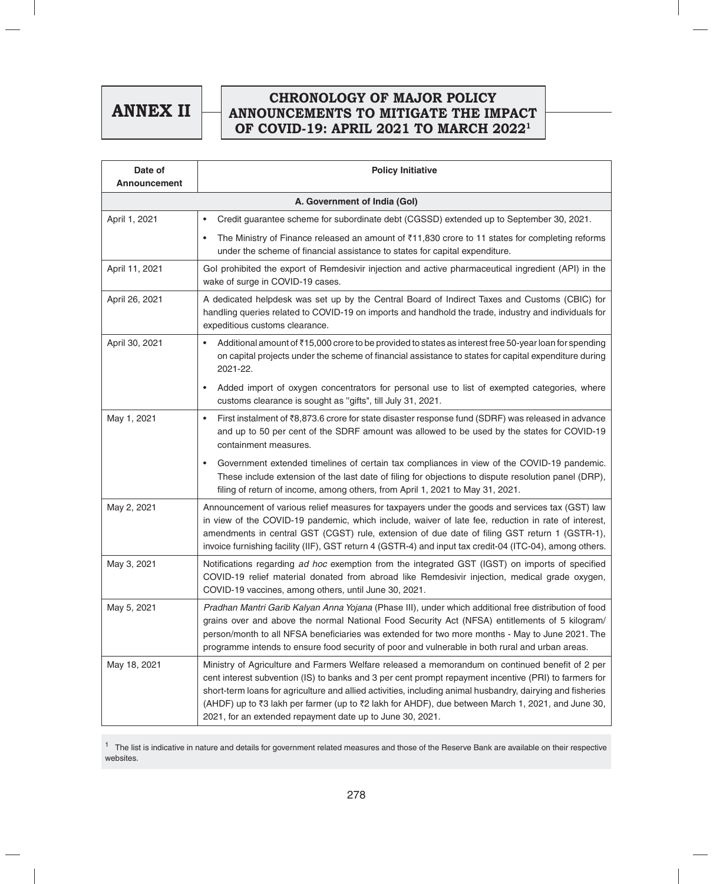**ANNEX II**

## **CHRONOLOGY OF MAJOR POLICY ANNOUNCEMENTS TO MITIGATE THE IMPACT OF COVID-19: APRIL 2021 TO MARCH 20221**

| Date of<br><b>Announcement</b> | <b>Policy Initiative</b>                                                                                                                                                                                                                                                                                                                                                                                                                                                                 |
|--------------------------------|------------------------------------------------------------------------------------------------------------------------------------------------------------------------------------------------------------------------------------------------------------------------------------------------------------------------------------------------------------------------------------------------------------------------------------------------------------------------------------------|
| A. Government of India (Gol)   |                                                                                                                                                                                                                                                                                                                                                                                                                                                                                          |
| April 1, 2021                  | Credit guarantee scheme for subordinate debt (CGSSD) extended up to September 30, 2021.<br>$\bullet$                                                                                                                                                                                                                                                                                                                                                                                     |
|                                | The Ministry of Finance released an amount of $\overline{3}11,830$ crore to 11 states for completing reforms<br>$\bullet$<br>under the scheme of financial assistance to states for capital expenditure.                                                                                                                                                                                                                                                                                 |
| April 11, 2021                 | Gol prohibited the export of Remdesivir injection and active pharmaceutical ingredient (API) in the<br>wake of surge in COVID-19 cases.                                                                                                                                                                                                                                                                                                                                                  |
| April 26, 2021                 | A dedicated helpdesk was set up by the Central Board of Indirect Taxes and Customs (CBIC) for<br>handling queries related to COVID-19 on imports and handhold the trade, industry and individuals for<br>expeditious customs clearance.                                                                                                                                                                                                                                                  |
| April 30, 2021                 | Additional amount of ₹15,000 crore to be provided to states as interest free 50-year loan for spending<br>$\bullet$<br>on capital projects under the scheme of financial assistance to states for capital expenditure during<br>2021-22.                                                                                                                                                                                                                                                 |
|                                | Added import of oxygen concentrators for personal use to list of exempted categories, where<br>$\bullet$<br>customs clearance is sought as "gifts", till July 31, 2021.                                                                                                                                                                                                                                                                                                                  |
| May 1, 2021                    | First instalment of ₹8,873.6 crore for state disaster response fund (SDRF) was released in advance<br>$\bullet$<br>and up to 50 per cent of the SDRF amount was allowed to be used by the states for COVID-19<br>containment measures.                                                                                                                                                                                                                                                   |
|                                | Government extended timelines of certain tax compliances in view of the COVID-19 pandemic.<br>$\bullet$<br>These include extension of the last date of filing for objections to dispute resolution panel (DRP),<br>filing of return of income, among others, from April 1, 2021 to May 31, 2021.                                                                                                                                                                                         |
| May 2, 2021                    | Announcement of various relief measures for taxpayers under the goods and services tax (GST) law<br>in view of the COVID-19 pandemic, which include, waiver of late fee, reduction in rate of interest,<br>amendments in central GST (CGST) rule, extension of due date of filing GST return 1 (GSTR-1),<br>invoice furnishing facility (IIF), GST return 4 (GSTR-4) and input tax credit-04 (ITC-04), among others.                                                                     |
| May 3, 2021                    | Notifications regarding ad hoc exemption from the integrated GST (IGST) on imports of specified<br>COVID-19 relief material donated from abroad like Remdesivir injection, medical grade oxygen,<br>COVID-19 vaccines, among others, until June 30, 2021.                                                                                                                                                                                                                                |
| May 5, 2021                    | Pradhan Mantri Garib Kalyan Anna Yojana (Phase III), under which additional free distribution of food<br>grains over and above the normal National Food Security Act (NFSA) entitlements of 5 kilogram/<br>person/month to all NFSA beneficiaries was extended for two more months - May to June 2021. The<br>programme intends to ensure food security of poor and vulnerable in both rural and urban areas.                                                                            |
| May 18, 2021                   | Ministry of Agriculture and Farmers Welfare released a memorandum on continued benefit of 2 per<br>cent interest subvention (IS) to banks and 3 per cent prompt repayment incentive (PRI) to farmers for<br>short-term loans for agriculture and allied activities, including animal husbandry, dairying and fisheries<br>(AHDF) up to ₹3 lakh per farmer (up to ₹2 lakh for AHDF), due between March 1, 2021, and June 30,<br>2021, for an extended repayment date up to June 30, 2021. |

<sup>1</sup> The list is indicative in nature and details for government related measures and those of the Reserve Bank are available on their respective websites.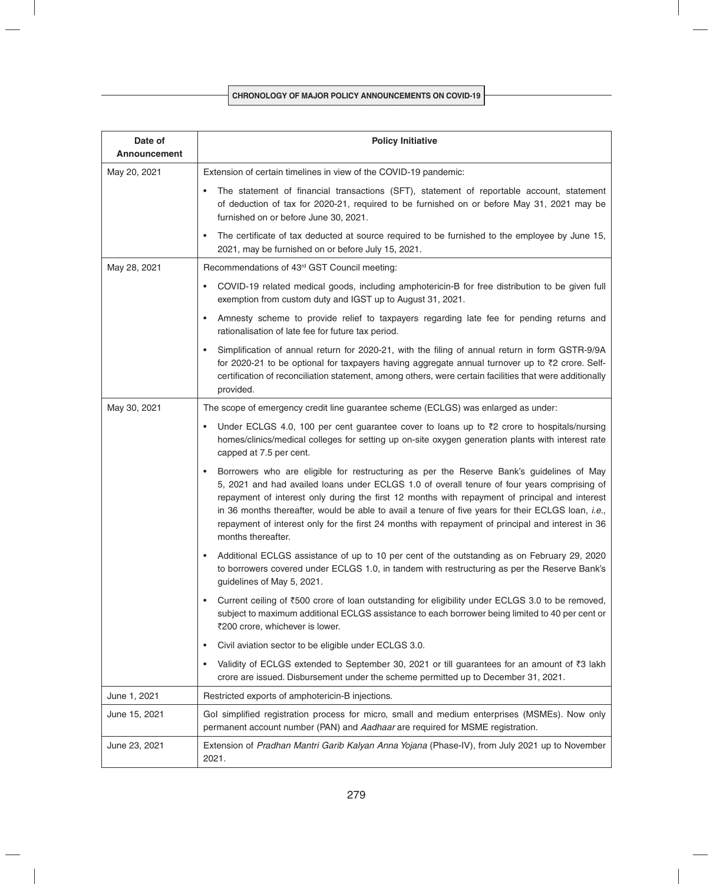| Date of<br><b>Announcement</b> | <b>Policy Initiative</b>                                                                                                                                                                                                                                                                                                                                                                                                                                                                                                                |
|--------------------------------|-----------------------------------------------------------------------------------------------------------------------------------------------------------------------------------------------------------------------------------------------------------------------------------------------------------------------------------------------------------------------------------------------------------------------------------------------------------------------------------------------------------------------------------------|
| May 20, 2021                   | Extension of certain timelines in view of the COVID-19 pandemic:                                                                                                                                                                                                                                                                                                                                                                                                                                                                        |
|                                | The statement of financial transactions (SFT), statement of reportable account, statement<br>$\bullet$<br>of deduction of tax for 2020-21, required to be furnished on or before May 31, 2021 may be<br>furnished on or before June 30, 2021.                                                                                                                                                                                                                                                                                           |
|                                | The certificate of tax deducted at source required to be furnished to the employee by June 15,<br>$\bullet$<br>2021, may be furnished on or before July 15, 2021.                                                                                                                                                                                                                                                                                                                                                                       |
| May 28, 2021                   | Recommendations of 43rd GST Council meeting:                                                                                                                                                                                                                                                                                                                                                                                                                                                                                            |
|                                | COVID-19 related medical goods, including amphotericin-B for free distribution to be given full<br>$\bullet$<br>exemption from custom duty and IGST up to August 31, 2021.                                                                                                                                                                                                                                                                                                                                                              |
|                                | Amnesty scheme to provide relief to taxpayers regarding late fee for pending returns and<br>$\bullet$<br>rationalisation of late fee for future tax period.                                                                                                                                                                                                                                                                                                                                                                             |
|                                | Simplification of annual return for 2020-21, with the filing of annual return in form GSTR-9/9A<br>$\bullet$<br>for 2020-21 to be optional for taxpayers having aggregate annual turnover up to ₹2 crore. Self-<br>certification of reconciliation statement, among others, were certain facilities that were additionally<br>provided.                                                                                                                                                                                                 |
| May 30, 2021                   | The scope of emergency credit line guarantee scheme (ECLGS) was enlarged as under:                                                                                                                                                                                                                                                                                                                                                                                                                                                      |
|                                | Under ECLGS 4.0, 100 per cent guarantee cover to loans up to ₹2 crore to hospitals/nursing<br>$\bullet$<br>homes/clinics/medical colleges for setting up on-site oxygen generation plants with interest rate<br>capped at 7.5 per cent.                                                                                                                                                                                                                                                                                                 |
|                                | Borrowers who are eligible for restructuring as per the Reserve Bank's guidelines of May<br>$\bullet$<br>5, 2021 and had availed loans under ECLGS 1.0 of overall tenure of four years comprising of<br>repayment of interest only during the first 12 months with repayment of principal and interest<br>in 36 months thereafter, would be able to avail a tenure of five years for their ECLGS loan, i.e.,<br>repayment of interest only for the first 24 months with repayment of principal and interest in 36<br>months thereafter. |
|                                | Additional ECLGS assistance of up to 10 per cent of the outstanding as on February 29, 2020<br>$\bullet$<br>to borrowers covered under ECLGS 1.0, in tandem with restructuring as per the Reserve Bank's<br>guidelines of May 5, 2021.                                                                                                                                                                                                                                                                                                  |
|                                | Current ceiling of ₹500 crore of loan outstanding for eligibility under ECLGS 3.0 to be removed,<br>$\bullet$<br>subject to maximum additional ECLGS assistance to each borrower being limited to 40 per cent or<br>₹200 crore, whichever is lower.                                                                                                                                                                                                                                                                                     |
|                                | Civil aviation sector to be eligible under ECLGS 3.0.<br>$\bullet$                                                                                                                                                                                                                                                                                                                                                                                                                                                                      |
|                                | Validity of ECLGS extended to September 30, 2021 or till guarantees for an amount of ₹3 lakh<br>$\bullet$<br>crore are issued. Disbursement under the scheme permitted up to December 31, 2021.                                                                                                                                                                                                                                                                                                                                         |
| June 1, 2021                   | Restricted exports of amphotericin-B injections.                                                                                                                                                                                                                                                                                                                                                                                                                                                                                        |
| June 15, 2021                  | Gol simplified registration process for micro, small and medium enterprises (MSMEs). Now only<br>permanent account number (PAN) and Aadhaar are required for MSME registration.                                                                                                                                                                                                                                                                                                                                                         |
| June 23, 2021                  | Extension of Pradhan Mantri Garib Kalyan Anna Yojana (Phase-IV), from July 2021 up to November<br>2021.                                                                                                                                                                                                                                                                                                                                                                                                                                 |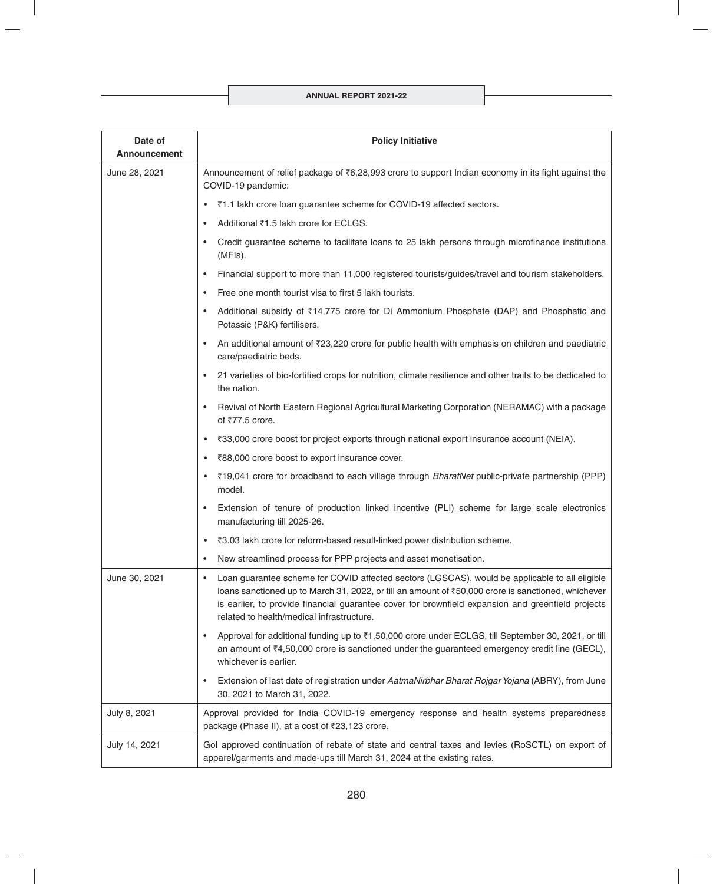| Date of<br><b>Announcement</b> | <b>Policy Initiative</b>                                                                                                                                                                                                                                                                                                                                            |
|--------------------------------|---------------------------------------------------------------------------------------------------------------------------------------------------------------------------------------------------------------------------------------------------------------------------------------------------------------------------------------------------------------------|
| June 28, 2021                  | Announcement of relief package of ₹6,28,993 crore to support Indian economy in its fight against the<br>COVID-19 pandemic:                                                                                                                                                                                                                                          |
|                                | ₹1.1 lakh crore loan guarantee scheme for COVID-19 affected sectors.<br>$\bullet$                                                                                                                                                                                                                                                                                   |
|                                | Additional ₹1.5 lakh crore for ECLGS.<br>٠                                                                                                                                                                                                                                                                                                                          |
|                                | Credit guarantee scheme to facilitate loans to 25 lakh persons through microfinance institutions<br>$\bullet$<br>(MFIs).                                                                                                                                                                                                                                            |
|                                | Financial support to more than 11,000 registered tourists/guides/travel and tourism stakeholders.<br>٠                                                                                                                                                                                                                                                              |
|                                | Free one month tourist visa to first 5 lakh tourists.<br>$\bullet$                                                                                                                                                                                                                                                                                                  |
|                                | Additional subsidy of ₹14,775 crore for Di Ammonium Phosphate (DAP) and Phosphatic and<br>٠<br>Potassic (P&K) fertilisers.                                                                                                                                                                                                                                          |
|                                | An additional amount of ₹23,220 crore for public health with emphasis on children and paediatric<br>$\bullet$<br>care/paediatric beds.                                                                                                                                                                                                                              |
|                                | 21 varieties of bio-fortified crops for nutrition, climate resilience and other traits to be dedicated to<br>$\bullet$<br>the nation.                                                                                                                                                                                                                               |
|                                | Revival of North Eastern Regional Agricultural Marketing Corporation (NERAMAC) with a package<br>$\bullet$<br>of ₹77.5 crore.                                                                                                                                                                                                                                       |
|                                | ₹33,000 crore boost for project exports through national export insurance account (NEIA).<br>$\bullet$                                                                                                                                                                                                                                                              |
|                                | ₹88,000 crore boost to export insurance cover.<br>$\bullet$                                                                                                                                                                                                                                                                                                         |
|                                | ₹19,041 crore for broadband to each village through BharatNet public-private partnership (PPP)<br>$\bullet$<br>model.                                                                                                                                                                                                                                               |
|                                | Extension of tenure of production linked incentive (PLI) scheme for large scale electronics<br>$\bullet$<br>manufacturing till 2025-26.                                                                                                                                                                                                                             |
|                                | ₹3.03 lakh crore for reform-based result-linked power distribution scheme.<br>$\bullet$                                                                                                                                                                                                                                                                             |
|                                | New streamlined process for PPP projects and asset monetisation.<br>٠                                                                                                                                                                                                                                                                                               |
| June 30, 2021                  | Loan guarantee scheme for COVID affected sectors (LGSCAS), would be applicable to all eligible<br>$\bullet$<br>loans sanctioned up to March 31, 2022, or till an amount of ₹50,000 crore is sanctioned, whichever<br>is earlier, to provide financial guarantee cover for brownfield expansion and greenfield projects<br>related to health/medical infrastructure. |
|                                | Approval for additional funding up to ₹1,50,000 crore under ECLGS, till September 30, 2021, or till<br>٠<br>an amount of $\overline{z}4,50,000$ crore is sanctioned under the guaranteed emergency credit line (GECL),<br>whichever is earlier.                                                                                                                     |
|                                | Extension of last date of registration under AatmaNirbhar Bharat Rojgar Yojana (ABRY), from June<br>٠<br>30, 2021 to March 31, 2022.                                                                                                                                                                                                                                |
| July 8, 2021                   | Approval provided for India COVID-19 emergency response and health systems preparedness<br>package (Phase II), at a cost of ₹23,123 crore.                                                                                                                                                                                                                          |
| July 14, 2021                  | Gol approved continuation of rebate of state and central taxes and levies (RoSCTL) on export of<br>apparel/garments and made-ups till March 31, 2024 at the existing rates.                                                                                                                                                                                         |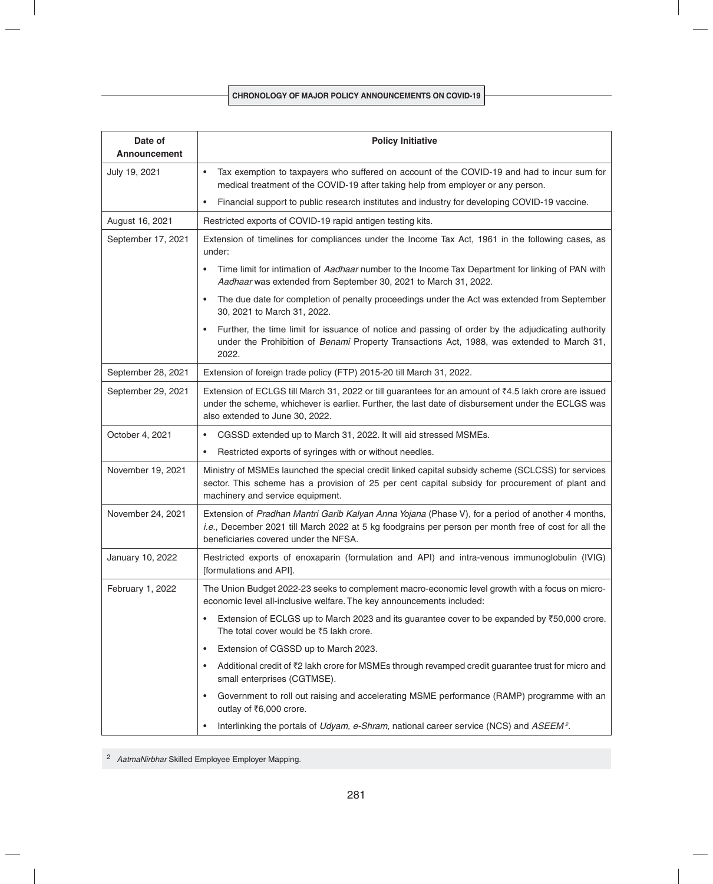| Date of<br><b>Announcement</b> | <b>Policy Initiative</b>                                                                                                                                                                                                                           |
|--------------------------------|----------------------------------------------------------------------------------------------------------------------------------------------------------------------------------------------------------------------------------------------------|
| July 19, 2021                  | Tax exemption to taxpayers who suffered on account of the COVID-19 and had to incur sum for<br>$\bullet$<br>medical treatment of the COVID-19 after taking help from employer or any person.                                                       |
|                                | Financial support to public research institutes and industry for developing COVID-19 vaccine.<br>$\bullet$                                                                                                                                         |
| August 16, 2021                | Restricted exports of COVID-19 rapid antigen testing kits.                                                                                                                                                                                         |
| September 17, 2021             | Extension of timelines for compliances under the Income Tax Act, 1961 in the following cases, as<br>under:                                                                                                                                         |
|                                | Time limit for intimation of Aadhaar number to the Income Tax Department for linking of PAN with<br>Aadhaar was extended from September 30, 2021 to March 31, 2022.                                                                                |
|                                | The due date for completion of penalty proceedings under the Act was extended from September<br>30, 2021 to March 31, 2022.                                                                                                                        |
|                                | Further, the time limit for issuance of notice and passing of order by the adjudicating authority<br>under the Prohibition of Benami Property Transactions Act, 1988, was extended to March 31,<br>2022.                                           |
| September 28, 2021             | Extension of foreign trade policy (FTP) 2015-20 till March 31, 2022.                                                                                                                                                                               |
| September 29, 2021             | Extension of ECLGS till March 31, 2022 or till guarantees for an amount of ₹4.5 lakh crore are issued<br>under the scheme, whichever is earlier. Further, the last date of disbursement under the ECLGS was<br>also extended to June 30, 2022.     |
| October 4, 2021                | CGSSD extended up to March 31, 2022. It will aid stressed MSMEs.<br>$\bullet$                                                                                                                                                                      |
|                                | Restricted exports of syringes with or without needles.<br>$\bullet$                                                                                                                                                                               |
| November 19, 2021              | Ministry of MSMEs launched the special credit linked capital subsidy scheme (SCLCSS) for services<br>sector. This scheme has a provision of 25 per cent capital subsidy for procurement of plant and<br>machinery and service equipment.           |
| November 24, 2021              | Extension of Pradhan Mantri Garib Kalyan Anna Yojana (Phase V), for a period of another 4 months,<br>i.e., December 2021 till March 2022 at 5 kg foodgrains per person per month free of cost for all the<br>beneficiaries covered under the NFSA. |
| January 10, 2022               | Restricted exports of enoxaparin (formulation and API) and intra-venous immunoglobulin (IVIG)<br>[formulations and API].                                                                                                                           |
| February 1, 2022               | The Union Budget 2022-23 seeks to complement macro-economic level growth with a focus on micro-<br>economic level all-inclusive welfare. The key announcements included:                                                                           |
|                                | Extension of ECLGS up to March 2023 and its guarantee cover to be expanded by ₹50,000 crore.<br>$\bullet$<br>The total cover would be ₹5 lakh crore.                                                                                               |
|                                | Extension of CGSSD up to March 2023.<br>$\bullet$                                                                                                                                                                                                  |
|                                | Additional credit of ₹2 lakh crore for MSMEs through revamped credit guarantee trust for micro and<br>$\bullet$<br>small enterprises (CGTMSE).                                                                                                     |
|                                | Government to roll out raising and accelerating MSME performance (RAMP) programme with an<br>$\bullet$<br>outlay of ₹6,000 crore.                                                                                                                  |
|                                | Interlinking the portals of Udyam, e-Shram, national career service (NCS) and ASEEM <sup>2</sup> .<br>$\bullet$                                                                                                                                    |

<sup>2</sup>*AatmaNirbhar* Skilled Employee Employer Mapping.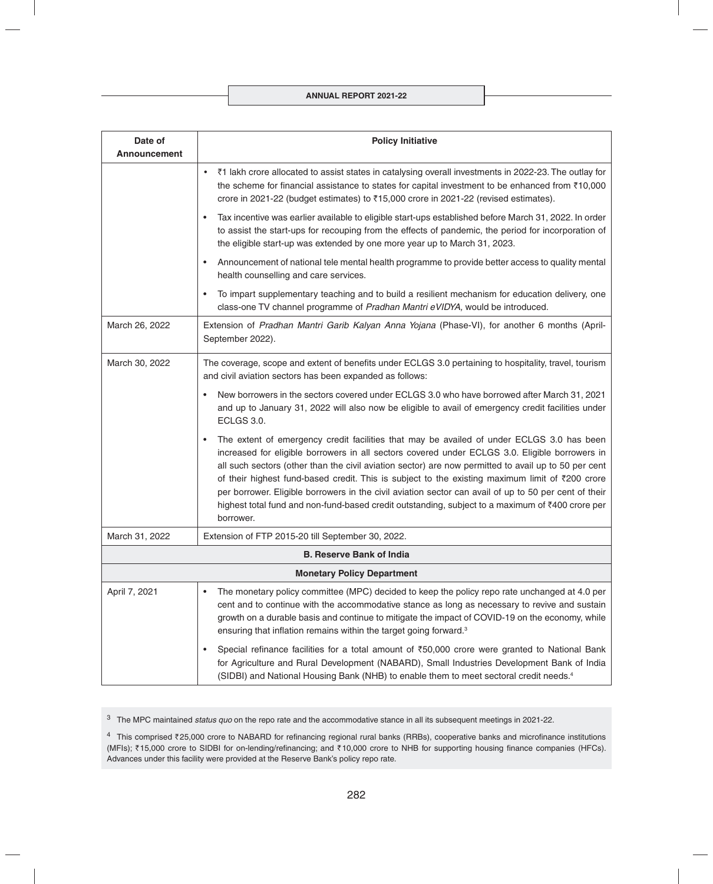## **ANNUAL REPORT 2021-22**

| Date of<br><b>Announcement</b> | <b>Policy Initiative</b>                                                                                                                                                                                                                                                                                                                                                                                                                                                                                                                                                                                                         |
|--------------------------------|----------------------------------------------------------------------------------------------------------------------------------------------------------------------------------------------------------------------------------------------------------------------------------------------------------------------------------------------------------------------------------------------------------------------------------------------------------------------------------------------------------------------------------------------------------------------------------------------------------------------------------|
|                                | ₹1 lakh crore allocated to assist states in catalysing overall investments in 2022-23. The outlay for<br>$\bullet$<br>the scheme for financial assistance to states for capital investment to be enhanced from ₹10,000<br>crore in 2021-22 (budget estimates) to ₹15,000 crore in 2021-22 (revised estimates).                                                                                                                                                                                                                                                                                                                   |
|                                | Tax incentive was earlier available to eligible start-ups established before March 31, 2022. In order<br>$\bullet$<br>to assist the start-ups for recouping from the effects of pandemic, the period for incorporation of<br>the eligible start-up was extended by one more year up to March 31, 2023.                                                                                                                                                                                                                                                                                                                           |
|                                | Announcement of national tele mental health programme to provide better access to quality mental<br>٠<br>health counselling and care services.                                                                                                                                                                                                                                                                                                                                                                                                                                                                                   |
|                                | To impart supplementary teaching and to build a resilient mechanism for education delivery, one<br>$\bullet$<br>class-one TV channel programme of Pradhan Mantri eVIDYA, would be introduced.                                                                                                                                                                                                                                                                                                                                                                                                                                    |
| March 26, 2022                 | Extension of Pradhan Mantri Garib Kalyan Anna Yojana (Phase-VI), for another 6 months (April-<br>September 2022).                                                                                                                                                                                                                                                                                                                                                                                                                                                                                                                |
| March 30, 2022                 | The coverage, scope and extent of benefits under ECLGS 3.0 pertaining to hospitality, travel, tourism<br>and civil aviation sectors has been expanded as follows:                                                                                                                                                                                                                                                                                                                                                                                                                                                                |
|                                | New borrowers in the sectors covered under ECLGS 3.0 who have borrowed after March 31, 2021<br>and up to January 31, 2022 will also now be eligible to avail of emergency credit facilities under<br><b>ECLGS 3.0.</b>                                                                                                                                                                                                                                                                                                                                                                                                           |
|                                | The extent of emergency credit facilities that may be availed of under ECLGS 3.0 has been<br>increased for eligible borrowers in all sectors covered under ECLGS 3.0. Eligible borrowers in<br>all such sectors (other than the civil aviation sector) are now permitted to avail up to 50 per cent<br>of their highest fund-based credit. This is subject to the existing maximum limit of ₹200 crore<br>per borrower. Eligible borrowers in the civil aviation sector can avail of up to 50 per cent of their<br>highest total fund and non-fund-based credit outstanding, subject to a maximum of ₹400 crore per<br>borrower. |
| March 31, 2022                 | Extension of FTP 2015-20 till September 30, 2022.                                                                                                                                                                                                                                                                                                                                                                                                                                                                                                                                                                                |
|                                | <b>B. Reserve Bank of India</b>                                                                                                                                                                                                                                                                                                                                                                                                                                                                                                                                                                                                  |
|                                | <b>Monetary Policy Department</b>                                                                                                                                                                                                                                                                                                                                                                                                                                                                                                                                                                                                |
| April 7, 2021                  | The monetary policy committee (MPC) decided to keep the policy repo rate unchanged at 4.0 per<br>cent and to continue with the accommodative stance as long as necessary to revive and sustain<br>growth on a durable basis and continue to mitigate the impact of COVID-19 on the economy, while<br>ensuring that inflation remains within the target going forward. <sup>3</sup>                                                                                                                                                                                                                                               |
|                                | Special refinance facilities for a total amount of ₹50,000 crore were granted to National Bank<br>for Agriculture and Rural Development (NABARD), Small Industries Development Bank of India<br>(SIDBI) and National Housing Bank (NHB) to enable them to meet sectoral credit needs. <sup>4</sup>                                                                                                                                                                                                                                                                                                                               |

3 The MPC maintained *status quo* on the repo rate and the accommodative stance in all its subsequent meetings in 2021-22.

 $4$  This comprised ₹25,000 crore to NABARD for refinancing regional rural banks (RRBs), cooperative banks and microfinance institutions (MFIs); ₹15,000 crore to SIDBI for on-lending/refinancing; and ₹10,000 crore to NHB for supporting housing finance companies (HFCs). Advances under this facility were provided at the Reserve Bank's policy repo rate.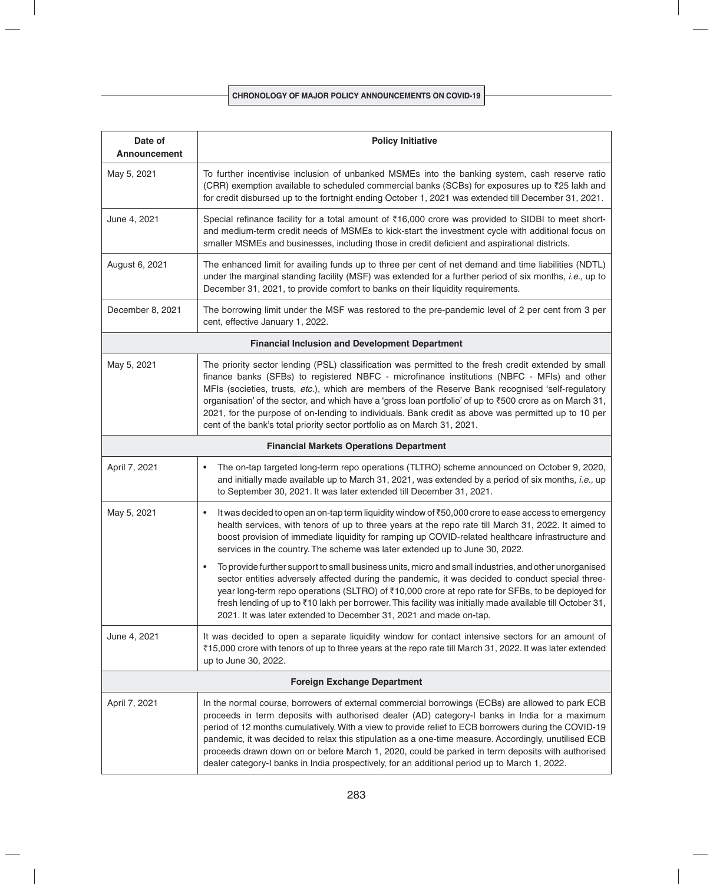| Date of<br><b>Announcement</b>                        | <b>Policy Initiative</b>                                                                                                                                                                                                                                                                                                                                                                                                                                                                                                                                                                                                |
|-------------------------------------------------------|-------------------------------------------------------------------------------------------------------------------------------------------------------------------------------------------------------------------------------------------------------------------------------------------------------------------------------------------------------------------------------------------------------------------------------------------------------------------------------------------------------------------------------------------------------------------------------------------------------------------------|
| May 5, 2021                                           | To further incentivise inclusion of unbanked MSMEs into the banking system, cash reserve ratio<br>(CRR) exemption available to scheduled commercial banks (SCBs) for exposures up to ₹25 lakh and<br>for credit disbursed up to the fortnight ending October 1, 2021 was extended till December 31, 2021.                                                                                                                                                                                                                                                                                                               |
| June 4, 2021                                          | Special refinance facility for a total amount of ₹16,000 crore was provided to SIDBI to meet short-<br>and medium-term credit needs of MSMEs to kick-start the investment cycle with additional focus on<br>smaller MSMEs and businesses, including those in credit deficient and aspirational districts.                                                                                                                                                                                                                                                                                                               |
| August 6, 2021                                        | The enhanced limit for availing funds up to three per cent of net demand and time liabilities (NDTL)<br>under the marginal standing facility (MSF) was extended for a further period of six months, i.e., up to<br>December 31, 2021, to provide comfort to banks on their liquidity requirements.                                                                                                                                                                                                                                                                                                                      |
| December 8, 2021                                      | The borrowing limit under the MSF was restored to the pre-pandemic level of 2 per cent from 3 per<br>cent, effective January 1, 2022.                                                                                                                                                                                                                                                                                                                                                                                                                                                                                   |
| <b>Financial Inclusion and Development Department</b> |                                                                                                                                                                                                                                                                                                                                                                                                                                                                                                                                                                                                                         |
| May 5, 2021                                           | The priority sector lending (PSL) classification was permitted to the fresh credit extended by small<br>finance banks (SFBs) to registered NBFC - microfinance institutions (NBFC - MFIs) and other<br>MFIs (societies, trusts, etc.), which are members of the Reserve Bank recognised 'self-regulatory<br>organisation' of the sector, and which have a 'gross loan portfolio' of up to ₹500 crore as on March 31,<br>2021, for the purpose of on-lending to individuals. Bank credit as above was permitted up to 10 per<br>cent of the bank's total priority sector portfolio as on March 31, 2021.                 |
|                                                       | <b>Financial Markets Operations Department</b>                                                                                                                                                                                                                                                                                                                                                                                                                                                                                                                                                                          |
| April 7, 2021                                         | The on-tap targeted long-term repo operations (TLTRO) scheme announced on October 9, 2020,<br>٠<br>and initially made available up to March 31, 2021, was extended by a period of six months, i.e., up<br>to September 30, 2021. It was later extended till December 31, 2021.                                                                                                                                                                                                                                                                                                                                          |
| May 5, 2021                                           | It was decided to open an on-tap term liquidity window of ₹50,000 crore to ease access to emergency<br>health services, with tenors of up to three years at the repo rate till March 31, 2022. It aimed to<br>boost provision of immediate liquidity for ramping up COVID-related healthcare infrastructure and<br>services in the country. The scheme was later extended up to June 30, 2022.                                                                                                                                                                                                                          |
|                                                       | To provide further support to small business units, micro and small industries, and other unorganised<br>$\bullet$<br>sector entities adversely affected during the pandemic, it was decided to conduct special three-<br>year long-term repo operations (SLTRO) of ₹10,000 crore at repo rate for SFBs, to be deployed for<br>fresh lending of up to ₹10 lakh per borrower. This facility was initially made available till October 31,<br>2021. It was later extended to December 31, 2021 and made on-tap.                                                                                                           |
| June 4, 2021                                          | It was decided to open a separate liquidity window for contact intensive sectors for an amount of<br>₹15,000 crore with tenors of up to three years at the repo rate till March 31, 2022. It was later extended<br>up to June 30, 2022.                                                                                                                                                                                                                                                                                                                                                                                 |
| <b>Foreign Exchange Department</b>                    |                                                                                                                                                                                                                                                                                                                                                                                                                                                                                                                                                                                                                         |
| April 7, 2021                                         | In the normal course, borrowers of external commercial borrowings (ECBs) are allowed to park ECB<br>proceeds in term deposits with authorised dealer (AD) category-I banks in India for a maximum<br>period of 12 months cumulatively. With a view to provide relief to ECB borrowers during the COVID-19<br>pandemic, it was decided to relax this stipulation as a one-time measure. Accordingly, unutilised ECB<br>proceeds drawn down on or before March 1, 2020, could be parked in term deposits with authorised<br>dealer category-I banks in India prospectively, for an additional period up to March 1, 2022. |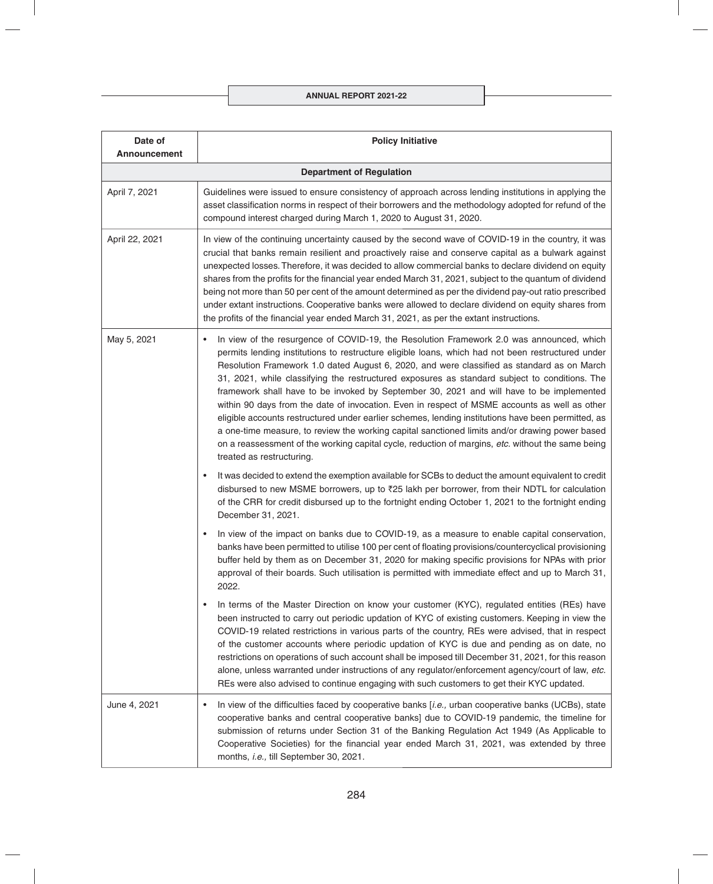| Date of<br><b>Announcement</b> | <b>Policy Initiative</b>                                                                                                                                                                                                                                                                                                                                                                                                                                                                                                                                                                                                                                                                                                                                                                                                                                                                                                                         |
|--------------------------------|--------------------------------------------------------------------------------------------------------------------------------------------------------------------------------------------------------------------------------------------------------------------------------------------------------------------------------------------------------------------------------------------------------------------------------------------------------------------------------------------------------------------------------------------------------------------------------------------------------------------------------------------------------------------------------------------------------------------------------------------------------------------------------------------------------------------------------------------------------------------------------------------------------------------------------------------------|
|                                | <b>Department of Regulation</b>                                                                                                                                                                                                                                                                                                                                                                                                                                                                                                                                                                                                                                                                                                                                                                                                                                                                                                                  |
| April 7, 2021                  | Guidelines were issued to ensure consistency of approach across lending institutions in applying the<br>asset classification norms in respect of their borrowers and the methodology adopted for refund of the<br>compound interest charged during March 1, 2020 to August 31, 2020.                                                                                                                                                                                                                                                                                                                                                                                                                                                                                                                                                                                                                                                             |
| April 22, 2021                 | In view of the continuing uncertainty caused by the second wave of COVID-19 in the country, it was<br>crucial that banks remain resilient and proactively raise and conserve capital as a bulwark against<br>unexpected losses. Therefore, it was decided to allow commercial banks to declare dividend on equity<br>shares from the profits for the financial year ended March 31, 2021, subject to the quantum of dividend<br>being not more than 50 per cent of the amount determined as per the dividend pay-out ratio prescribed<br>under extant instructions. Cooperative banks were allowed to declare dividend on equity shares from<br>the profits of the financial year ended March 31, 2021, as per the extant instructions.                                                                                                                                                                                                          |
| May 5, 2021                    | In view of the resurgence of COVID-19, the Resolution Framework 2.0 was announced, which<br>$\bullet$<br>permits lending institutions to restructure eligible loans, which had not been restructured under<br>Resolution Framework 1.0 dated August 6, 2020, and were classified as standard as on March<br>31, 2021, while classifying the restructured exposures as standard subject to conditions. The<br>framework shall have to be invoked by September 30, 2021 and will have to be implemented<br>within 90 days from the date of invocation. Even in respect of MSME accounts as well as other<br>eligible accounts restructured under earlier schemes, lending institutions have been permitted, as<br>a one-time measure, to review the working capital sanctioned limits and/or drawing power based<br>on a reassessment of the working capital cycle, reduction of margins, etc. without the same being<br>treated as restructuring. |
|                                | It was decided to extend the exemption available for SCBs to deduct the amount equivalent to credit<br>$\bullet$<br>disbursed to new MSME borrowers, up to ₹25 lakh per borrower, from their NDTL for calculation<br>of the CRR for credit disbursed up to the fortnight ending October 1, 2021 to the fortnight ending<br>December 31, 2021.                                                                                                                                                                                                                                                                                                                                                                                                                                                                                                                                                                                                    |
|                                | In view of the impact on banks due to COVID-19, as a measure to enable capital conservation,<br>$\bullet$<br>banks have been permitted to utilise 100 per cent of floating provisions/countercyclical provisioning<br>buffer held by them as on December 31, 2020 for making specific provisions for NPAs with prior<br>approval of their boards. Such utilisation is permitted with immediate effect and up to March 31,<br>2022.                                                                                                                                                                                                                                                                                                                                                                                                                                                                                                               |
|                                | In terms of the Master Direction on know your customer (KYC), regulated entities (REs) have<br>$\bullet$<br>been instructed to carry out periodic updation of KYC of existing customers. Keeping in view the<br>COVID-19 related restrictions in various parts of the country, REs were advised, that in respect<br>of the customer accounts where periodic updation of KYC is due and pending as on date, no<br>restrictions on operations of such account shall be imposed till December 31, 2021, for this reason<br>alone, unless warranted under instructions of any regulator/enforcement agency/court of law, etc.<br>REs were also advised to continue engaging with such customers to get their KYC updated.                                                                                                                                                                                                                            |
| June 4, 2021                   | In view of the difficulties faced by cooperative banks [i.e., urban cooperative banks (UCBs), state<br>٠<br>cooperative banks and central cooperative banks] due to COVID-19 pandemic, the timeline for<br>submission of returns under Section 31 of the Banking Regulation Act 1949 (As Applicable to<br>Cooperative Societies) for the financial year ended March 31, 2021, was extended by three<br>months, i.e., till September 30, 2021.                                                                                                                                                                                                                                                                                                                                                                                                                                                                                                    |